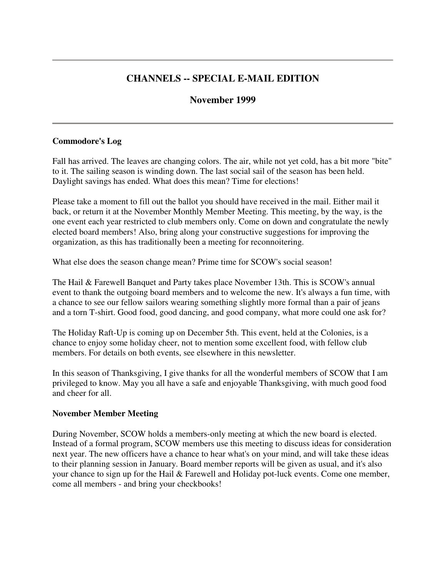# **CHANNELS -- SPECIAL E-MAIL EDITION**

## **November 1999**

#### **Commodore's Log**

Fall has arrived. The leaves are changing colors. The air, while not yet cold, has a bit more "bite" to it. The sailing season is winding down. The last social sail of the season has been held. Daylight savings has ended. What does this mean? Time for elections!

Please take a moment to fill out the ballot you should have received in the mail. Either mail it back, or return it at the November Monthly Member Meeting. This meeting, by the way, is the one event each year restricted to club members only. Come on down and congratulate the newly elected board members! Also, bring along your constructive suggestions for improving the organization, as this has traditionally been a meeting for reconnoitering.

What else does the season change mean? Prime time for SCOW's social season!

The Hail & Farewell Banquet and Party takes place November 13th. This is SCOW's annual event to thank the outgoing board members and to welcome the new. It's always a fun time, with a chance to see our fellow sailors wearing something slightly more formal than a pair of jeans and a torn T-shirt. Good food, good dancing, and good company, what more could one ask for?

The Holiday Raft-Up is coming up on December 5th. This event, held at the Colonies, is a chance to enjoy some holiday cheer, not to mention some excellent food, with fellow club members. For details on both events, see elsewhere in this newsletter.

In this season of Thanksgiving, I give thanks for all the wonderful members of SCOW that I am privileged to know. May you all have a safe and enjoyable Thanksgiving, with much good food and cheer for all.

#### **November Member Meeting**

During November, SCOW holds a members-only meeting at which the new board is elected. Instead of a formal program, SCOW members use this meeting to discuss ideas for consideration next year. The new officers have a chance to hear what's on your mind, and will take these ideas to their planning session in January. Board member reports will be given as usual, and it's also your chance to sign up for the Hail & Farewell and Holiday pot-luck events. Come one member, come all members - and bring your checkbooks!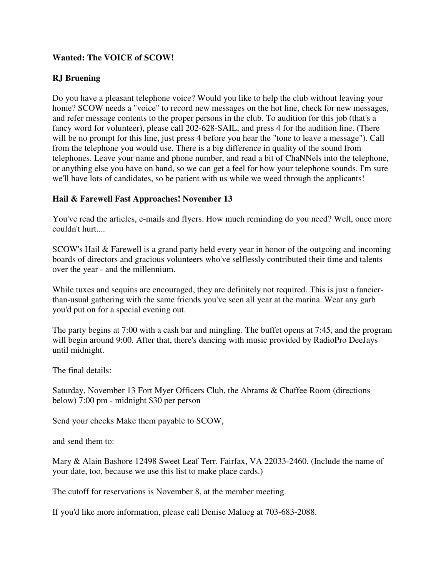### **Wanted: The VOICE of SCOW!**

# **RJ Bruening**

Do you have a pleasant telephone voice? Would you like to help the club without leaving your home? SCOW needs a "voice" to record new messages on the hot line, check for new messages, and refer message contents to the proper persons in the club. To audition for this job (that's a fancy word for volunteer), please call 202-628-SAIL, and press 4 for the audition line. (There will be no prompt for this line, just press 4 before you hear the "tone to leave a message"). Call from the telephone you would use. There is a big difference in quality of the sound from telephones. Leave your name and phone number, and read a bit of ChaNNels into the telephone, or anything else you have on hand, so we can get a feel for how your telephone sounds. I'm sure we'll have lots of candidates, so be patient with us while we weed through the applicants!

### **Hail & Farewell Fast Approaches! November 13**

You've read the articles, e-mails and flyers. How much reminding do you need? Well, once more couldn't hurt....

SCOW's Hail & Farewell is a grand party held every year in honor of the outgoing and incoming boards of directors and gracious volunteers who've selflessly contributed their time and talents over the year - and the millennium.

While tuxes and sequins are encouraged, they are definitely not required. This is just a fancierthan-usual gathering with the same friends you've seen all year at the marina. Wear any garb you'd put on for a special evening out.

The party begins at 7:00 with a cash bar and mingling. The buffet opens at 7:45, and the program will begin around 9:00. After that, there's dancing with music provided by RadioPro DeeJays until midnight.

The final details:

Saturday, November 13 Fort Myer Officers Club, the Abrams & Chaffee Room (directions below) 7:00 pm - midnight \$30 per person

Send your checks Make them payable to SCOW,

and send them to:

Mary & Alain Bashore 12498 Sweet Leaf Terr. Fairfax, VA 22033-2460. (Include the name of your date, too, because we use this list to make place cards.)

The cutoff for reservations is November 8, at the member meeting.

If you'd like more information, please call Denise Malueg at 703-683-2088.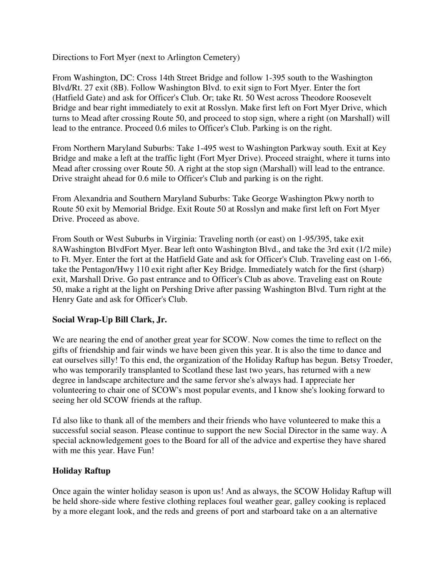Directions to Fort Myer (next to Arlington Cemetery)

From Washington, DC: Cross 14th Street Bridge and follow 1-395 south to the Washington Blvd/Rt. 27 exit (8B). Follow Washington Blvd. to exit sign to Fort Myer. Enter the fort (Hatfield Gate) and ask for Officer's Club. Or; take Rt. 50 West across Theodore Roosevelt Bridge and bear right immediately to exit at Rosslyn. Make first left on Fort Myer Drive, which turns to Mead after crossing Route 50, and proceed to stop sign, where a right (on Marshall) will lead to the entrance. Proceed 0.6 miles to Officer's Club. Parking is on the right.

From Northern Maryland Suburbs: Take 1-495 west to Washington Parkway south. Exit at Key Bridge and make a left at the traffic light (Fort Myer Drive). Proceed straight, where it turns into Mead after crossing over Route 50. A right at the stop sign (Marshall) will lead to the entrance. Drive straight ahead for 0.6 mile to Officer's Club and parking is on the right.

From Alexandria and Southern Maryland Suburbs: Take George Washington Pkwy north to Route 50 exit by Memorial Bridge. Exit Route 50 at Rosslyn and make first left on Fort Myer Drive. Proceed as above.

From South or West Suburbs in Virginia: Traveling north (or east) on 1-95/395, take exit 8AWashington BlvdFort Myer. Bear left onto Washington Blvd., and take the 3rd exit (1/2 mile) to Ft. Myer. Enter the fort at the Hatfield Gate and ask for Officer's Club. Traveling east on 1-66, take the Pentagon/Hwy 110 exit right after Key Bridge. Immediately watch for the first (sharp) exit, Marshall Drive. Go past entrance and to Officer's Club as above. Traveling east on Route 50, make a right at the light on Pershing Drive after passing Washington Blvd. Turn right at the Henry Gate and ask for Officer's Club.

### **Social Wrap-Up Bill Clark, Jr.**

We are nearing the end of another great year for SCOW. Now comes the time to reflect on the gifts of friendship and fair winds we have been given this year. It is also the time to dance and eat ourselves silly! To this end, the organization of the Holiday Raftup has begun. Betsy Troeder, who was temporarily transplanted to Scotland these last two years, has returned with a new degree in landscape architecture and the same fervor she's always had. I appreciate her volunteering to chair one of SCOW's most popular events, and I know she's looking forward to seeing her old SCOW friends at the raftup.

I'd also like to thank all of the members and their friends who have volunteered to make this a successful social season. Please continue to support the new Social Director in the same way. A special acknowledgement goes to the Board for all of the advice and expertise they have shared with me this year. Have Fun!

### **Holiday Raftup**

Once again the winter holiday season is upon us! And as always, the SCOW Holiday Raftup will be held shore-side where festive clothing replaces foul weather gear, galley cooking is replaced by a more elegant look, and the reds and greens of port and starboard take on a an alternative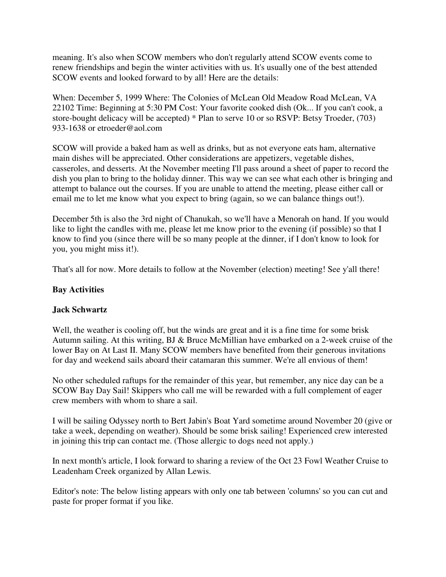meaning. It's also when SCOW members who don't regularly attend SCOW events come to renew friendships and begin the winter activities with us. It's usually one of the best attended SCOW events and looked forward to by all! Here are the details:

When: December 5, 1999 Where: The Colonies of McLean Old Meadow Road McLean, VA 22102 Time: Beginning at 5:30 PM Cost: Your favorite cooked dish (Ok... If you can't cook, a store-bought delicacy will be accepted) \* Plan to serve 10 or so RSVP: Betsy Troeder, (703) 933-1638 or etroeder@aol.com

SCOW will provide a baked ham as well as drinks, but as not everyone eats ham, alternative main dishes will be appreciated. Other considerations are appetizers, vegetable dishes, casseroles, and desserts. At the November meeting I'll pass around a sheet of paper to record the dish you plan to bring to the holiday dinner. This way we can see what each other is bringing and attempt to balance out the courses. If you are unable to attend the meeting, please either call or email me to let me know what you expect to bring (again, so we can balance things out!).

December 5th is also the 3rd night of Chanukah, so we'll have a Menorah on hand. If you would like to light the candles with me, please let me know prior to the evening (if possible) so that I know to find you (since there will be so many people at the dinner, if I don't know to look for you, you might miss it!).

That's all for now. More details to follow at the November (election) meeting! See y'all there!

#### **Bay Activities**

#### **Jack Schwartz**

Well, the weather is cooling off, but the winds are great and it is a fine time for some brisk Autumn sailing. At this writing, BJ & Bruce McMillian have embarked on a 2-week cruise of the lower Bay on At Last II. Many SCOW members have benefited from their generous invitations for day and weekend sails aboard their catamaran this summer. We're all envious of them!

No other scheduled raftups for the remainder of this year, but remember, any nice day can be a SCOW Bay Day Sail! Skippers who call me will be rewarded with a full complement of eager crew members with whom to share a sail.

I will be sailing Odyssey north to Bert Jabin's Boat Yard sometime around November 20 (give or take a week, depending on weather). Should be some brisk sailing! Experienced crew interested in joining this trip can contact me. (Those allergic to dogs need not apply.)

In next month's article, I look forward to sharing a review of the Oct 23 Fowl Weather Cruise to Leadenham Creek organized by Allan Lewis.

Editor's note: The below listing appears with only one tab between 'columns' so you can cut and paste for proper format if you like.